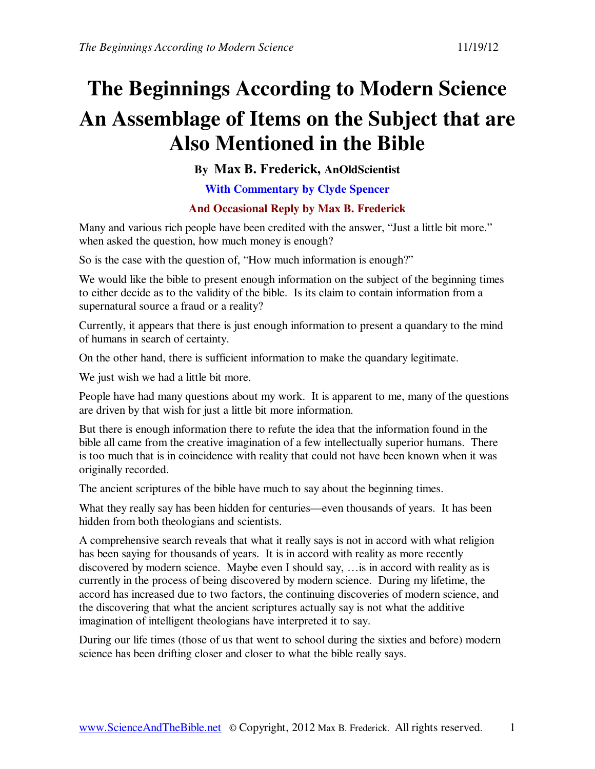# **The Beginnings According to Modern Science An Assemblage of Items on the Subject that are Also Mentioned in the Bible**

**By Max B. Frederick, AnOldScientist** 

**With Commentary by Clyde Spencer** 

# **And Occasional Reply by Max B. Frederick**

Many and various rich people have been credited with the answer, "Just a little bit more." when asked the question, how much money is enough?

So is the case with the question of, "How much information is enough?"

We would like the bible to present enough information on the subject of the beginning times to either decide as to the validity of the bible. Is its claim to contain information from a supernatural source a fraud or a reality?

Currently, it appears that there is just enough information to present a quandary to the mind of humans in search of certainty.

On the other hand, there is sufficient information to make the quandary legitimate.

We just wish we had a little bit more.

People have had many questions about my work. It is apparent to me, many of the questions are driven by that wish for just a little bit more information.

But there is enough information there to refute the idea that the information found in the bible all came from the creative imagination of a few intellectually superior humans. There is too much that is in coincidence with reality that could not have been known when it was originally recorded.

The ancient scriptures of the bible have much to say about the beginning times.

What they really say has been hidden for centuries—even thousands of years. It has been hidden from both theologians and scientists.

A comprehensive search reveals that what it really says is not in accord with what religion has been saying for thousands of years. It is in accord with reality as more recently discovered by modern science. Maybe even I should say, …is in accord with reality as is currently in the process of being discovered by modern science. During my lifetime, the accord has increased due to two factors, the continuing discoveries of modern science, and the discovering that what the ancient scriptures actually say is not what the additive imagination of intelligent theologians have interpreted it to say.

During our life times (those of us that went to school during the sixties and before) modern science has been drifting closer and closer to what the bible really says.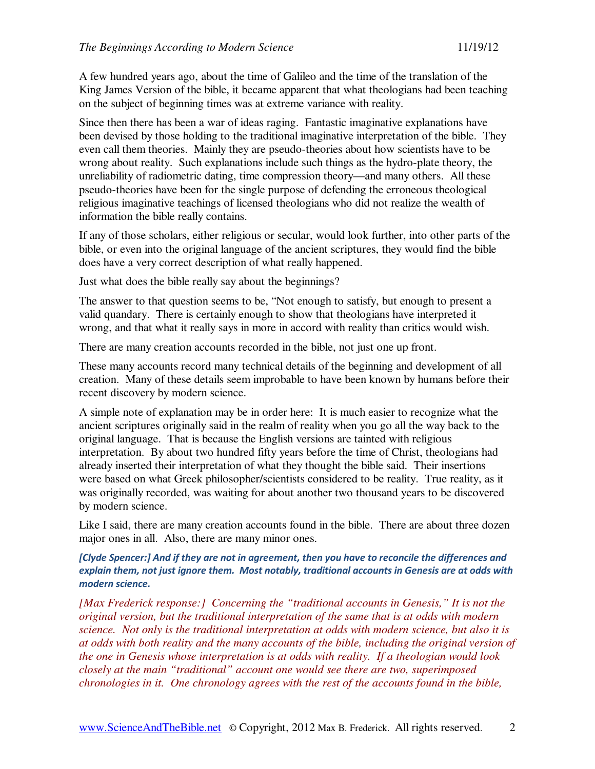A few hundred years ago, about the time of Galileo and the time of the translation of the King James Version of the bible, it became apparent that what theologians had been teaching on the subject of beginning times was at extreme variance with reality.

Since then there has been a war of ideas raging. Fantastic imaginative explanations have been devised by those holding to the traditional imaginative interpretation of the bible. They even call them theories. Mainly they are pseudo-theories about how scientists have to be wrong about reality. Such explanations include such things as the hydro-plate theory, the unreliability of radiometric dating, time compression theory—and many others. All these pseudo-theories have been for the single purpose of defending the erroneous theological religious imaginative teachings of licensed theologians who did not realize the wealth of information the bible really contains.

If any of those scholars, either religious or secular, would look further, into other parts of the bible, or even into the original language of the ancient scriptures, they would find the bible does have a very correct description of what really happened.

Just what does the bible really say about the beginnings?

The answer to that question seems to be, "Not enough to satisfy, but enough to present a valid quandary. There is certainly enough to show that theologians have interpreted it wrong, and that what it really says in more in accord with reality than critics would wish.

There are many creation accounts recorded in the bible, not just one up front.

These many accounts record many technical details of the beginning and development of all creation. Many of these details seem improbable to have been known by humans before their recent discovery by modern science.

A simple note of explanation may be in order here: It is much easier to recognize what the ancient scriptures originally said in the realm of reality when you go all the way back to the original language. That is because the English versions are tainted with religious interpretation. By about two hundred fifty years before the time of Christ, theologians had already inserted their interpretation of what they thought the bible said. Their insertions were based on what Greek philosopher/scientists considered to be reality. True reality, as it was originally recorded, was waiting for about another two thousand years to be discovered by modern science.

Like I said, there are many creation accounts found in the bible. There are about three dozen major ones in all. Also, there are many minor ones.

## [Clyde Spencer:] And if they are not in agreement, then you have to reconcile the differences and explain them, not just ignore them. Most notably, traditional accounts in Genesis are at odds with modern science.

*[Max Frederick response:] Concerning the "traditional accounts in Genesis," It is not the original version, but the traditional interpretation of the same that is at odds with modern science. Not only is the traditional interpretation at odds with modern science, but also it is at odds with both reality and the many accounts of the bible, including the original version of the one in Genesis whose interpretation is at odds with reality. If a theologian would look closely at the main "traditional" account one would see there are two, superimposed chronologies in it. One chronology agrees with the rest of the accounts found in the bible,*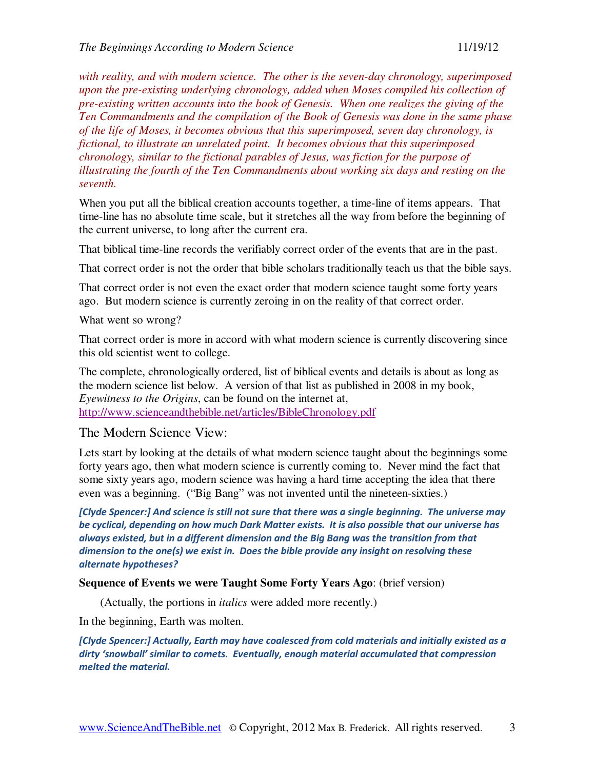*with reality, and with modern science. The other is the seven-day chronology, superimposed upon the pre-existing underlying chronology, added when Moses compiled his collection of pre-existing written accounts into the book of Genesis. When one realizes the giving of the Ten Commandments and the compilation of the Book of Genesis was done in the same phase of the life of Moses, it becomes obvious that this superimposed, seven day chronology, is fictional, to illustrate an unrelated point. It becomes obvious that this superimposed chronology, similar to the fictional parables of Jesus, was fiction for the purpose of illustrating the fourth of the Ten Commandments about working six days and resting on the seventh.* 

When you put all the biblical creation accounts together, a time-line of items appears. That time-line has no absolute time scale, but it stretches all the way from before the beginning of the current universe, to long after the current era.

That biblical time-line records the verifiably correct order of the events that are in the past.

That correct order is not the order that bible scholars traditionally teach us that the bible says.

That correct order is not even the exact order that modern science taught some forty years ago. But modern science is currently zeroing in on the reality of that correct order.

#### What went so wrong?

That correct order is more in accord with what modern science is currently discovering since this old scientist went to college.

The complete, chronologically ordered, list of biblical events and details is about as long as the modern science list below. A version of that list as published in 2008 in my book, *Eyewitness to the Origins*, can be found on the internet at, http://www.scienceandthebible.net/articles/BibleChronology.pdf

# The Modern Science View:

Lets start by looking at the details of what modern science taught about the beginnings some forty years ago, then what modern science is currently coming to. Never mind the fact that some sixty years ago, modern science was having a hard time accepting the idea that there even was a beginning. ("Big Bang" was not invented until the nineteen-sixties.)

[Clyde Spencer:] And science is still not sure that there was a single beginning. The universe may be cyclical, depending on how much Dark Matter exists. It is also possible that our universe has always existed, but in a different dimension and the Big Bang was the transition from that dimension to the one(s) we exist in. Does the bible provide any insight on resolving these alternate hypotheses?

#### **Sequence of Events we were Taught Some Forty Years Ago**: (brief version)

(Actually, the portions in *italics* were added more recently.)

In the beginning, Earth was molten.

[Clyde Spencer:] Actually, Earth may have coalesced from cold materials and initially existed as a dirty 'snowball' similar to comets. Eventually, enough material accumulated that compression melted the material.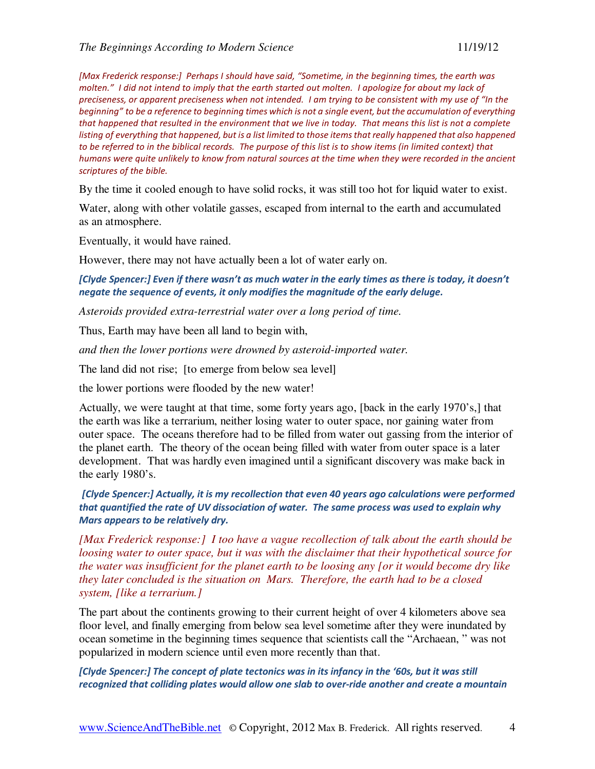[Max Frederick response:] Perhaps I should have said, "Sometime, in the beginning times, the earth was molten." I did not intend to imply that the earth started out molten. I apologize for about my lack of preciseness, or apparent preciseness when not intended. I am trying to be consistent with my use of "In the beginning" to be a reference to beginning times which is not a single event, but the accumulation of everything that happened that resulted in the environment that we live in today. That means this list is not a complete listing of everything that happened, but is a list limited to those items that really happened that also happened to be referred to in the biblical records. The purpose of this list is to show items (in limited context) that humans were quite unlikely to know from natural sources at the time when they were recorded in the ancient scriptures of the bible.

By the time it cooled enough to have solid rocks, it was still too hot for liquid water to exist.

Water, along with other volatile gasses, escaped from internal to the earth and accumulated as an atmosphere.

Eventually, it would have rained.

However, there may not have actually been a lot of water early on.

[Clyde Spencer:] Even if there wasn't as much water in the early times as there is today, it doesn't negate the sequence of events, it only modifies the magnitude of the early deluge.

*Asteroids provided extra-terrestrial water over a long period of time.* 

Thus, Earth may have been all land to begin with,

*and then the lower portions were drowned by asteroid-imported water.* 

The land did not rise; [to emerge from below sea level]

the lower portions were flooded by the new water!

Actually, we were taught at that time, some forty years ago, [back in the early 1970's,] that the earth was like a terrarium, neither losing water to outer space, nor gaining water from outer space. The oceans therefore had to be filled from water out gassing from the interior of the planet earth. The theory of the ocean being filled with water from outer space is a later development. That was hardly even imagined until a significant discovery was make back in the early 1980's.

[Clyde Spencer:] Actually, it is my recollection that even 40 years ago calculations were performed that quantified the rate of UV dissociation of water. The same process was used to explain why Mars appears to be relatively dry.

*[Max Frederick response:] I too have a vague recollection of talk about the earth should be loosing water to outer space, but it was with the disclaimer that their hypothetical source for the water was insufficient for the planet earth to be loosing any [or it would become dry like they later concluded is the situation on Mars. Therefore, the earth had to be a closed system, [like a terrarium.]* 

The part about the continents growing to their current height of over 4 kilometers above sea floor level, and finally emerging from below sea level sometime after they were inundated by ocean sometime in the beginning times sequence that scientists call the "Archaean, " was not popularized in modern science until even more recently than that.

[Clyde Spencer:] The concept of plate tectonics was in its infancy in the '60s, but it was still recognized that colliding plates would allow one slab to over-ride another and create a mountain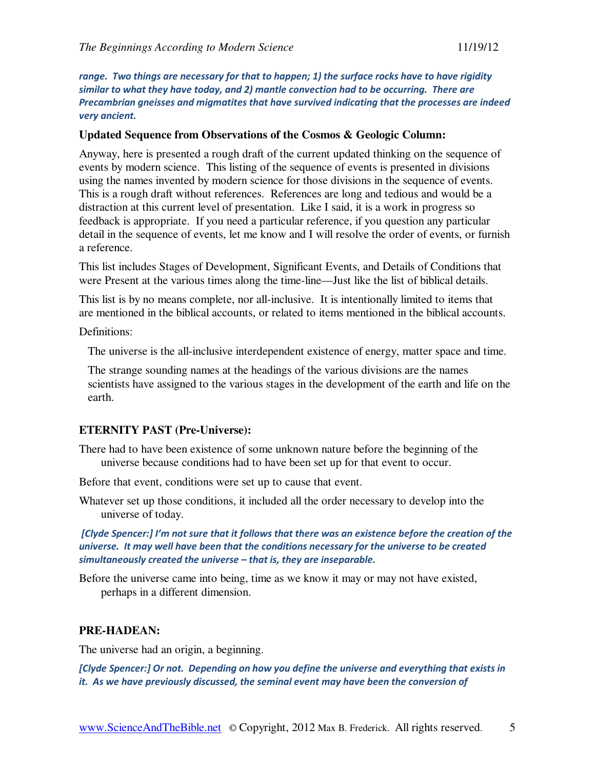range. Two things are necessary for that to happen; 1) the surface rocks have to have rigidity similar to what they have today, and 2) mantle convection had to be occurring. There are Precambrian gneisses and migmatites that have survived indicating that the processes are indeed very ancient.

### **Updated Sequence from Observations of the Cosmos & Geologic Column:**

Anyway, here is presented a rough draft of the current updated thinking on the sequence of events by modern science. This listing of the sequence of events is presented in divisions using the names invented by modern science for those divisions in the sequence of events. This is a rough draft without references. References are long and tedious and would be a distraction at this current level of presentation. Like I said, it is a work in progress so feedback is appropriate. If you need a particular reference, if you question any particular detail in the sequence of events, let me know and I will resolve the order of events, or furnish a reference.

This list includes Stages of Development, Significant Events, and Details of Conditions that were Present at the various times along the time-line—Just like the list of biblical details.

This list is by no means complete, nor all-inclusive. It is intentionally limited to items that are mentioned in the biblical accounts, or related to items mentioned in the biblical accounts.

Definitions:

The universe is the all-inclusive interdependent existence of energy, matter space and time.

The strange sounding names at the headings of the various divisions are the names scientists have assigned to the various stages in the development of the earth and life on the earth.

### **ETERNITY PAST (Pre-Universe):**

There had to have been existence of some unknown nature before the beginning of the universe because conditions had to have been set up for that event to occur.

Before that event, conditions were set up to cause that event.

Whatever set up those conditions, it included all the order necessary to develop into the universe of today.

 [Clyde Spencer:] I'm not sure that it follows that there was an existence before the creation of the universe. It may well have been that the conditions necessary for the universe to be created simultaneously created the universe – that is, they are inseparable.

Before the universe came into being, time as we know it may or may not have existed, perhaps in a different dimension.

# **PRE-HADEAN:**

The universe had an origin, a beginning.

[Clyde Spencer:] Or not. Depending on how you define the universe and everything that exists in it. As we have previously discussed, the seminal event may have been the conversion of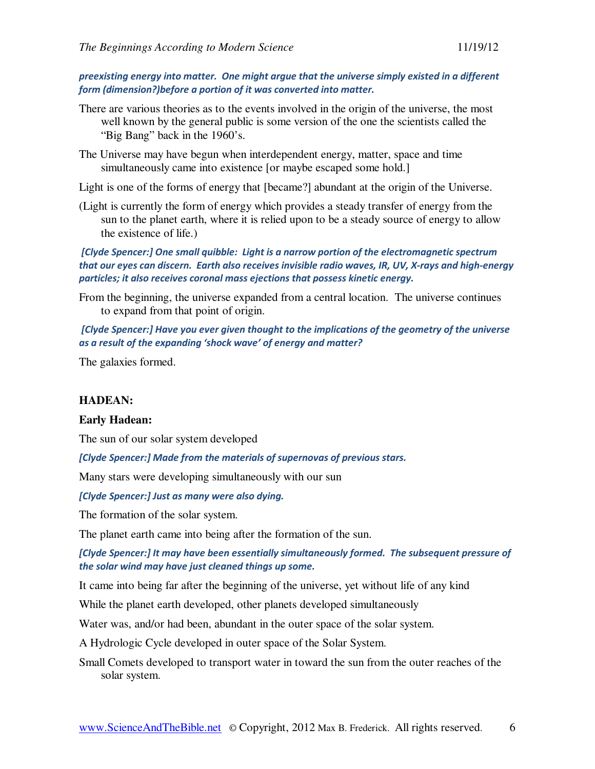preexisting energy into matter. One might argue that the universe simply existed in a different form (dimension?)before a portion of it was converted into matter.

- There are various theories as to the events involved in the origin of the universe, the most well known by the general public is some version of the one the scientists called the "Big Bang" back in the 1960's.
- The Universe may have begun when interdependent energy, matter, space and time simultaneously came into existence [or maybe escaped some hold.]
- Light is one of the forms of energy that [became?] abundant at the origin of the Universe.
- (Light is currently the form of energy which provides a steady transfer of energy from the sun to the planet earth, where it is relied upon to be a steady source of energy to allow the existence of life.)

 [Clyde Spencer:] One small quibble: Light is a narrow portion of the electromagnetic spectrum that our eyes can discern. Earth also receives invisible radio waves, IR, UV, X-rays and high-energy particles; it also receives coronal mass ejections that possess kinetic energy.

From the beginning, the universe expanded from a central location. The universe continues to expand from that point of origin.

 [Clyde Spencer:] Have you ever given thought to the implications of the geometry of the universe as a result of the expanding 'shock wave' of energy and matter?

The galaxies formed.

#### **HADEAN:**

#### **Early Hadean:**

The sun of our solar system developed

[Clyde Spencer:] Made from the materials of supernovas of previous stars.

Many stars were developing simultaneously with our sun

[Clyde Spencer:] Just as many were also dying.

The formation of the solar system.

The planet earth came into being after the formation of the sun.

[Clyde Spencer:] It may have been essentially simultaneously formed. The subsequent pressure of the solar wind may have just cleaned things up some.

It came into being far after the beginning of the universe, yet without life of any kind

While the planet earth developed, other planets developed simultaneously

Water was, and/or had been, abundant in the outer space of the solar system.

A Hydrologic Cycle developed in outer space of the Solar System.

Small Comets developed to transport water in toward the sun from the outer reaches of the solar system.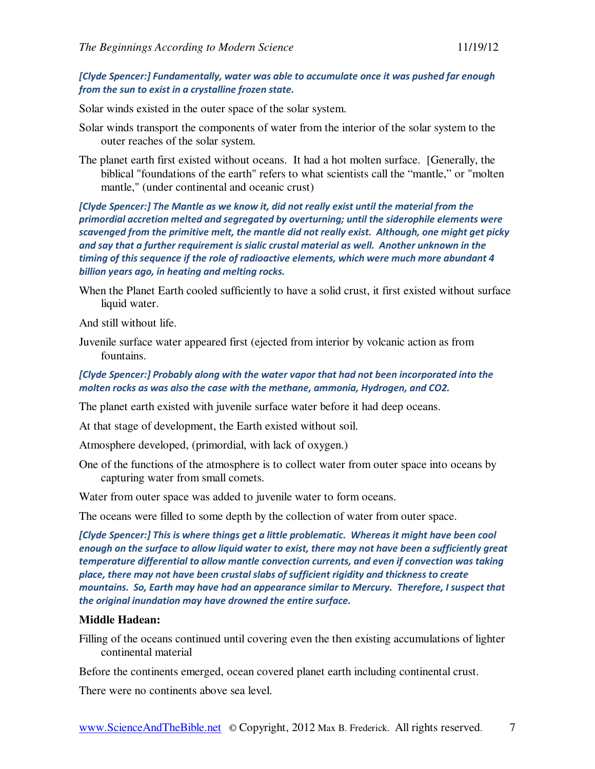## [Clyde Spencer:] Fundamentally, water was able to accumulate once it was pushed far enough from the sun to exist in a crystalline frozen state.

Solar winds existed in the outer space of the solar system.

- Solar winds transport the components of water from the interior of the solar system to the outer reaches of the solar system.
- The planet earth first existed without oceans. It had a hot molten surface. [Generally, the biblical "foundations of the earth" refers to what scientists call the "mantle," or "molten mantle," (under continental and oceanic crust)

[Clyde Spencer:] The Mantle as we know it, did not really exist until the material from the primordial accretion melted and segregated by overturning; until the siderophile elements were scavenged from the primitive melt, the mantle did not really exist. Although, one might get picky and say that a further requirement is sialic crustal material as well. Another unknown in the timing of this sequence if the role of radioactive elements, which were much more abundant 4 billion years ago, in heating and melting rocks.

When the Planet Earth cooled sufficiently to have a solid crust, it first existed without surface liquid water.

And still without life.

Juvenile surface water appeared first (ejected from interior by volcanic action as from fountains.

## [Clyde Spencer:] Probably along with the water vapor that had not been incorporated into the molten rocks as was also the case with the methane, ammonia, Hydrogen, and CO2.

The planet earth existed with juvenile surface water before it had deep oceans.

At that stage of development, the Earth existed without soil.

Atmosphere developed, (primordial, with lack of oxygen.)

One of the functions of the atmosphere is to collect water from outer space into oceans by capturing water from small comets.

Water from outer space was added to juvenile water to form oceans.

The oceans were filled to some depth by the collection of water from outer space.

[Clyde Spencer:] This is where things get a little problematic. Whereas it might have been cool enough on the surface to allow liquid water to exist, there may not have been a sufficiently great temperature differential to allow mantle convection currents, and even if convection was taking place, there may not have been crustal slabs of sufficient rigidity and thickness to create mountains. So, Earth may have had an appearance similar to Mercury. Therefore, I suspect that the original inundation may have drowned the entire surface.

## **Middle Hadean:**

Filling of the oceans continued until covering even the then existing accumulations of lighter continental material

Before the continents emerged, ocean covered planet earth including continental crust.

There were no continents above sea level.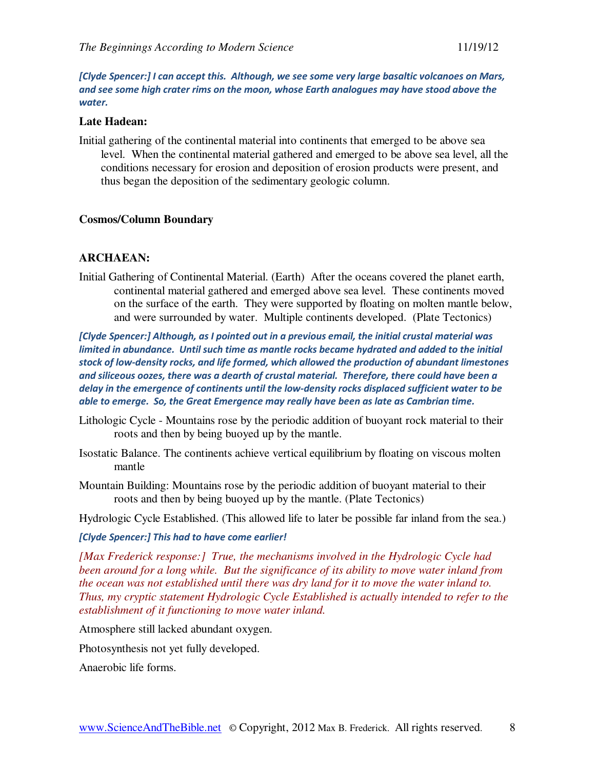[Clyde Spencer:] I can accept this. Although, we see some very large basaltic volcanoes on Mars, and see some high crater rims on the moon, whose Earth analogues may have stood above the water.

#### **Late Hadean:**

Initial gathering of the continental material into continents that emerged to be above sea level. When the continental material gathered and emerged to be above sea level, all the conditions necessary for erosion and deposition of erosion products were present, and thus began the deposition of the sedimentary geologic column.

#### **Cosmos/Column Boundary**

### **ARCHAEAN:**

Initial Gathering of Continental Material. (Earth) After the oceans covered the planet earth, continental material gathered and emerged above sea level. These continents moved on the surface of the earth. They were supported by floating on molten mantle below, and were surrounded by water. Multiple continents developed. (Plate Tectonics)

[Clyde Spencer:] Although, as I pointed out in a previous email, the initial crustal material was limited in abundance. Until such time as mantle rocks became hydrated and added to the initial stock of low-density rocks, and life formed, which allowed the production of abundant limestones and siliceous oozes, there was a dearth of crustal material. Therefore, there could have been a delay in the emergence of continents until the low-density rocks displaced sufficient water to be able to emerge. So, the Great Emergence may really have been as late as Cambrian time.

- Lithologic Cycle Mountains rose by the periodic addition of buoyant rock material to their roots and then by being buoyed up by the mantle.
- Isostatic Balance. The continents achieve vertical equilibrium by floating on viscous molten mantle
- Mountain Building: Mountains rose by the periodic addition of buoyant material to their roots and then by being buoyed up by the mantle. (Plate Tectonics)

Hydrologic Cycle Established. (This allowed life to later be possible far inland from the sea.)

[Clyde Spencer:] This had to have come earlier!

*[Max Frederick response:] True, the mechanisms involved in the Hydrologic Cycle had been around for a long while. But the significance of its ability to move water inland from the ocean was not established until there was dry land for it to move the water inland to. Thus, my cryptic statement Hydrologic Cycle Established is actually intended to refer to the establishment of it functioning to move water inland.* 

Atmosphere still lacked abundant oxygen.

Photosynthesis not yet fully developed.

Anaerobic life forms.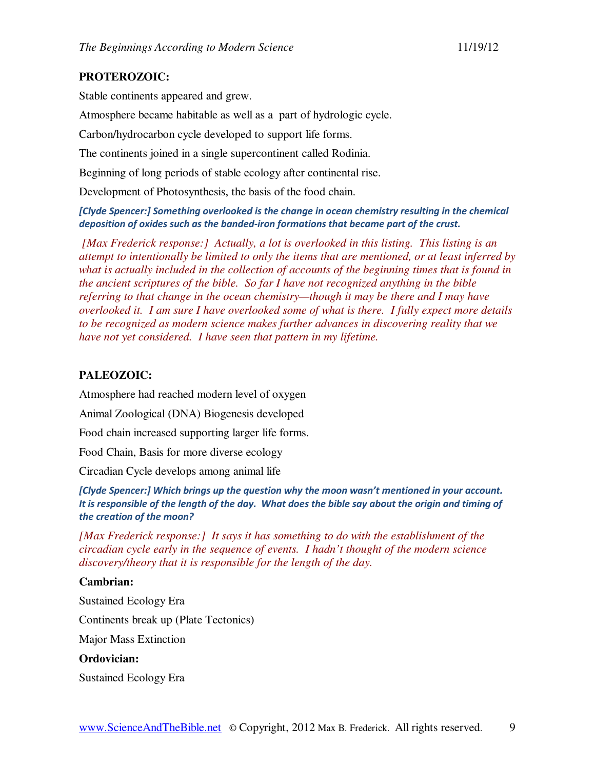# **PROTEROZOIC:**

Stable continents appeared and grew.

Atmosphere became habitable as well as a part of hydrologic cycle.

Carbon/hydrocarbon cycle developed to support life forms.

The continents joined in a single supercontinent called Rodinia.

Beginning of long periods of stable ecology after continental rise.

Development of Photosynthesis, the basis of the food chain.

[Clyde Spencer:] Something overlooked is the change in ocean chemistry resulting in the chemical deposition of oxides such as the banded-iron formations that became part of the crust.

*[Max Frederick response:] Actually, a lot is overlooked in this listing. This listing is an attempt to intentionally be limited to only the items that are mentioned, or at least inferred by what is actually included in the collection of accounts of the beginning times that is found in the ancient scriptures of the bible. So far I have not recognized anything in the bible referring to that change in the ocean chemistry—though it may be there and I may have overlooked it. I am sure I have overlooked some of what is there. I fully expect more details to be recognized as modern science makes further advances in discovering reality that we have not yet considered. I have seen that pattern in my lifetime.* 

# **PALEOZOIC:**

Atmosphere had reached modern level of oxygen

Animal Zoological (DNA) Biogenesis developed

Food chain increased supporting larger life forms.

Food Chain, Basis for more diverse ecology

Circadian Cycle develops among animal life

[Clyde Spencer:] Which brings up the question why the moon wasn't mentioned in your account. It is responsible of the length of the day. What does the bible say about the origin and timing of the creation of the moon?

*[Max Frederick response:] It says it has something to do with the establishment of the circadian cycle early in the sequence of events. I hadn't thought of the modern science discovery/theory that it is responsible for the length of the day.* 

# **Cambrian:**

Sustained Ecology Era Continents break up (Plate Tectonics) Major Mass Extinction **Ordovician:**  Sustained Ecology Era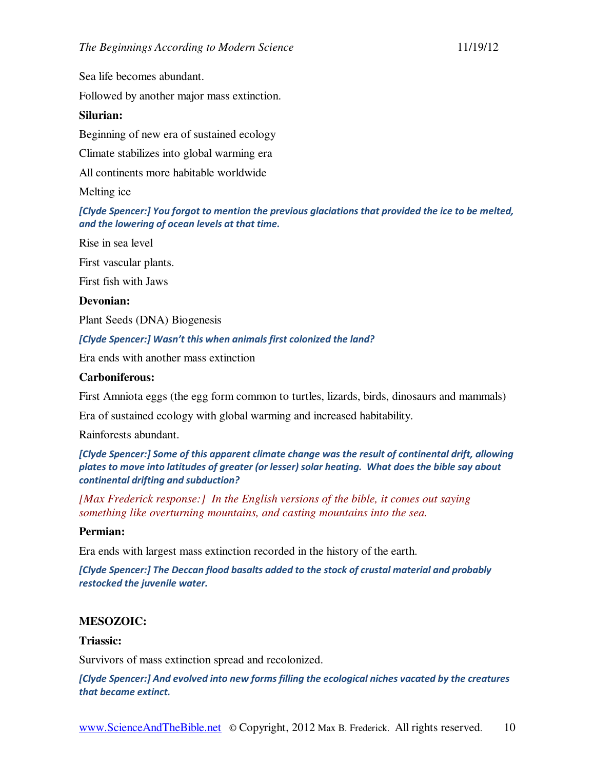Sea life becomes abundant.

Followed by another major mass extinction.

# **Silurian:**

Beginning of new era of sustained ecology

Climate stabilizes into global warming era

All continents more habitable worldwide

Melting ice

[Clyde Spencer:] You forgot to mention the previous glaciations that provided the ice to be melted, and the lowering of ocean levels at that time.

Rise in sea level

First vascular plants.

First fish with Jaws

# **Devonian:**

Plant Seeds (DNA) Biogenesis

[Clyde Spencer:] Wasn't this when animals first colonized the land?

Era ends with another mass extinction

# **Carboniferous:**

First Amniota eggs (the egg form common to turtles, lizards, birds, dinosaurs and mammals)

Era of sustained ecology with global warming and increased habitability.

Rainforests abundant.

[Clyde Spencer:] Some of this apparent climate change was the result of continental drift, allowing plates to move into latitudes of greater (or lesser) solar heating. What does the bible say about continental drifting and subduction?

*[Max Frederick response:] In the English versions of the bible, it comes out saying something like overturning mountains, and casting mountains into the sea.* 

# **Permian:**

Era ends with largest mass extinction recorded in the history of the earth.

[Clyde Spencer:] The Deccan flood basalts added to the stock of crustal material and probably restocked the juvenile water.

# **MESOZOIC:**

# **Triassic:**

Survivors of mass extinction spread and recolonized.

[Clyde Spencer:] And evolved into new forms filling the ecological niches vacated by the creatures that became extinct.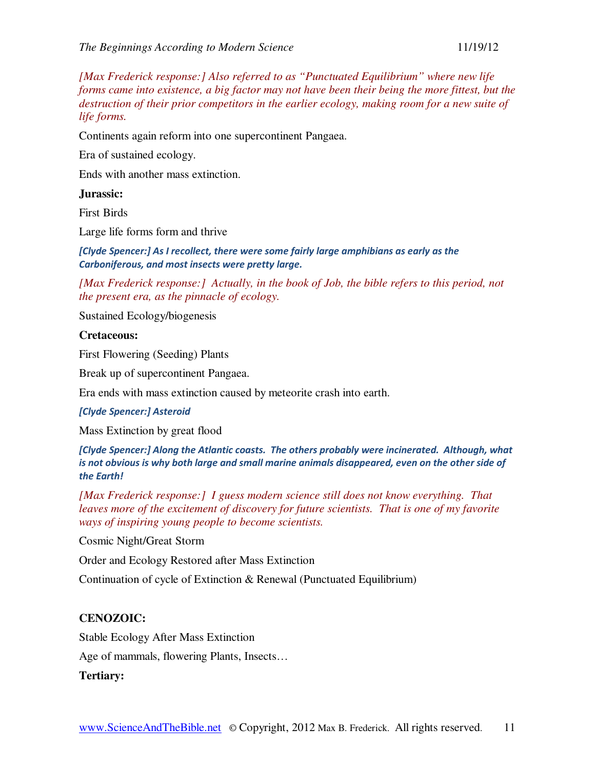*[Max Frederick response:] Also referred to as "Punctuated Equilibrium" where new life forms came into existence, a big factor may not have been their being the more fittest, but the destruction of their prior competitors in the earlier ecology, making room for a new suite of life forms.* 

Continents again reform into one supercontinent Pangaea.

Era of sustained ecology.

Ends with another mass extinction.

### **Jurassic:**

First Birds

Large life forms form and thrive

[Clyde Spencer:] As I recollect, there were some fairly large amphibians as early as the Carboniferous, and most insects were pretty large.

*[Max Frederick response:] Actually, in the book of Job, the bible refers to this period, not the present era, as the pinnacle of ecology.* 

Sustained Ecology/biogenesis

## **Cretaceous:**

First Flowering (Seeding) Plants

Break up of supercontinent Pangaea.

Era ends with mass extinction caused by meteorite crash into earth.

### [Clyde Spencer:] Asteroid

Mass Extinction by great flood

[Clyde Spencer:] Along the Atlantic coasts. The others probably were incinerated. Although, what is not obvious is why both large and small marine animals disappeared, even on the other side of the Earth!

*[Max Frederick response:] I guess modern science still does not know everything. That leaves more of the excitement of discovery for future scientists. That is one of my favorite ways of inspiring young people to become scientists.* 

Cosmic Night/Great Storm

Order and Ecology Restored after Mass Extinction

Continuation of cycle of Extinction & Renewal (Punctuated Equilibrium)

# **CENOZOIC:**

Stable Ecology After Mass Extinction

Age of mammals, flowering Plants, Insects…

# **Tertiary:**